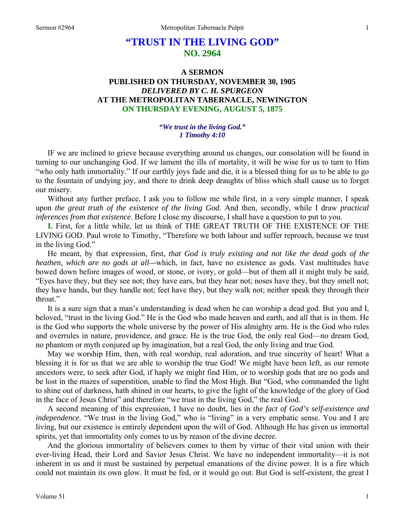# **"TRUST IN THE LIVING GOD" NO. 2964**

# **A SERMON PUBLISHED ON THURSDAY, NOVEMBER 30, 1905**  *DELIVERED BY C. H. SPURGEON*  **AT THE METROPOLITAN TABERNACLE, NEWINGTON ON THURSDAY EVENING, AUGUST 5, 1875**

#### *"We trust in the living God." 1 Timothy 4:10*

IF we are inclined to grieve because everything around us changes, our consolation will be found in turning to our unchanging God. If we lament the ills of mortality, it will be wise for us to turn to Him "who only hath immortality." If our earthly joys fade and die, it is a blessed thing for us to be able to go to the fountain of undying joy, and there to drink deep draughts of bliss which shall cause us to forget our misery.

 Without any further preface, I ask you to follow me while first, in a very simple manner, I speak upon *the great truth of the existence of the living God.* And then, secondly, while I draw *practical inferences from that existence*. Before I close my discourse, I shall have a question to put to you.

**I.** First, for a little while, let us think of THE GREAT TRUTH OF THE EXISTENCE OF THE LIVING GOD. Paul wrote to Timothy, "Therefore we both labour and suffer reproach, because we trust in the living God."

 He meant, by that expression, first, *that God is truly existing and not like the dead gods of the heathen, which are no gods at all—*which, in fact, have no existence as gods. Vast multitudes have bowed down before images of wood, or stone, or ivory, or gold—but of them all it might truly be said, "Eyes have they, but they see not; they have ears, but they hear not; noses have they, but they smell not; they have hands, but they handle not; feet have they, but they walk not; neither speak they through their throat."

 It is a sure sign that a man's understanding is dead when he can worship a dead god. But you and I, beloved, "trust in the living God." He is the God who made heaven and earth, and all that is in them. He is the God who supports the whole universe by the power of His almighty arm. He is the God who rules and overrules in nature, providence, and grace. He is the true God, the only real God—no dream God, no phantom or myth conjured up by imagination, but a real God, the only living and true God.

 May we worship Him, then, with real worship, real adoration, and true sincerity of heart! What a blessing it is for us that we are able to worship the true God! We might have been left, as our remote ancestors were, to seek after God, if haply we might find Him, or to worship gods that are no gods and be lost in the mazes of superstition, unable to find the Most High. But "God, who commanded the light to shine out of darkness, hath shined in our hearts, to give the light of the knowledge of the glory of God in the face of Jesus Christ" and therefore "we trust in the living God," the real God.

 A second meaning of this expression, I have no doubt, lies in *the fact of God's self-existence and independence*. "We trust in the living God," who is "living" in a very emphatic sense. You and I are living, but our existence is entirely dependent upon the will of God. Although He has given us immortal spirits, yet that immortality only comes to us by reason of the divine decree.

 And the glorious immortality of believers comes to them by virtue of their vital union with their ever-living Head, their Lord and Savior Jesus Christ. We have no independent immortality—it is not inherent in us and it must be sustained by perpetual emanations of the divine power. It is a fire which could not maintain its own glow. It must be fed, or it would go out. But God is self-existent, the great I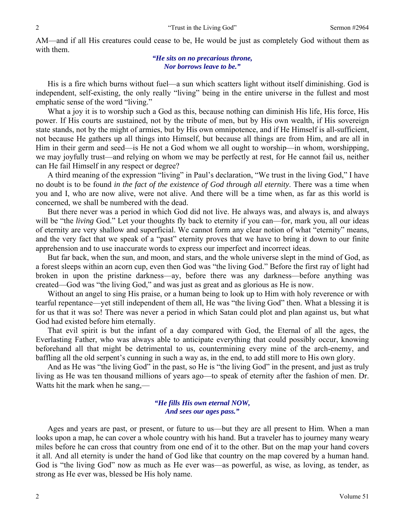AM—and if all His creatures could cease to be, He would be just as completely God without them as with them.

> *"He sits on no precarious throne, Nor borrows leave to be."*

 His is a fire which burns without fuel—a sun which scatters light without itself diminishing. God is independent, self-existing, the only really "living" being in the entire universe in the fullest and most emphatic sense of the word "living."

 What a joy it is to worship such a God as this, because nothing can diminish His life, His force, His power. If His courts are sustained, not by the tribute of men, but by His own wealth, if His sovereign state stands, not by the might of armies, but by His own omnipotence, and if He Himself is all-sufficient, not because He gathers up all things into Himself, but because all things are from Him, and are all in Him in their germ and seed—is He not a God whom we all ought to worship—in whom, worshipping, we may joyfully trust—and relying on whom we may be perfectly at rest, for He cannot fail us, neither can He fail Himself in any respect or degree?

 A third meaning of the expression "living" in Paul's declaration, "We trust in the living God," I have no doubt is to be found *in the fact of the existence of God through all eternity*. There was a time when you and I, who are now alive, were not alive. And there will be a time when, as far as this world is concerned, we shall be numbered with the dead.

 But there never was a period in which God did not live. He always was, and always is, and always will be "the *living* God." Let your thoughts fly back to eternity if you can—for, mark you, all our ideas of eternity are very shallow and superficial. We cannot form any clear notion of what "eternity" means, and the very fact that we speak of a "past" eternity proves that we have to bring it down to our finite apprehension and to use inaccurate words to express our imperfect and incorrect ideas.

 But far back, when the sun, and moon, and stars, and the whole universe slept in the mind of God, as a forest sleeps within an acorn cup, even then God was "the living God." Before the first ray of light had broken in upon the pristine darkness—ay, before there was any darkness—before anything was created—God was "the living God," and was just as great and as glorious as He is now.

 Without an angel to sing His praise, or a human being to look up to Him with holy reverence or with tearful repentance—yet still independent of them all, He was "the living God" then. What a blessing it is for us that it was so! There was never a period in which Satan could plot and plan against us, but what God had existed before him eternally.

 That evil spirit is but the infant of a day compared with God, the Eternal of all the ages, the Everlasting Father, who was always able to anticipate everything that could possibly occur, knowing beforehand all that might be detrimental to us, countermining every mine of the arch-enemy, and baffling all the old serpent's cunning in such a way as, in the end, to add still more to His own glory.

 And as He was "the living God" in the past, so He is "the living God" in the present, and just as truly living as He was ten thousand millions of years ago—to speak of eternity after the fashion of men. Dr. Watts hit the mark when he sang,—

### *"He fills His own eternal NOW, And sees our ages pass."*

 Ages and years are past, or present, or future to us—but they are all present to Him. When a man looks upon a map, he can cover a whole country with his hand. But a traveler has to journey many weary miles before he can cross that country from one end of it to the other. But on the map your hand covers it all. And all eternity is under the hand of God like that country on the map covered by a human hand. God is "the living God" now as much as He ever was—as powerful, as wise, as loving, as tender, as strong as He ever was, blessed be His holy name.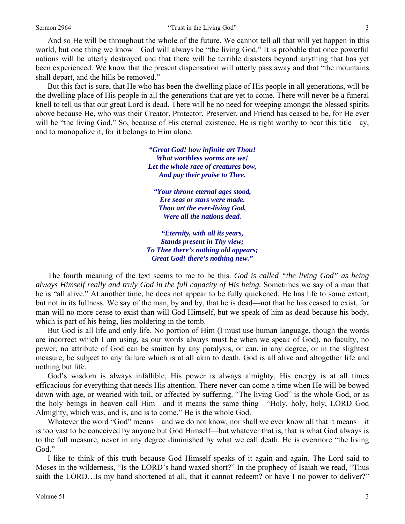And so He will be throughout the whole of the future. We cannot tell all that will yet happen in this world, but one thing we know—God will always be "the living God." It is probable that once powerful nations will be utterly destroyed and that there will be terrible disasters beyond anything that has yet been experienced. We know that the present dispensation will utterly pass away and that "the mountains shall depart, and the hills be removed."

 But this fact is sure, that He who has been the dwelling place of His people in all generations, will be the dwelling place of His people in all the generations that are yet to come. There will never be a funeral knell to tell us that our great Lord is dead. There will be no need for weeping amongst the blessed spirits above because He, who was their Creator, Protector, Preserver, and Friend has ceased to be, for He ever will be "the living God." So, because of His eternal existence, He is right worthy to bear this title—ay, and to monopolize it, for it belongs to Him alone.

> *"Great God! how infinite art Thou! What worthless worms are we! Let the whole race of creatures bow, And pay their praise to Thee.*

*"Your throne eternal ages stood, Ere seas or stars were made. Thou art the ever-living God, Were all the nations dead.* 

*"Eternity, with all its years, Stands present in Thy view; To Thee there's nothing old appears; Great God! there's nothing new."* 

The fourth meaning of the text seems to me to be this. *God is called "the living God" as being always Himself really and truly God in the full capacity of His being.* Sometimes we say of a man that he is "all alive." At another time, he does not appear to be fully quickened. He has life to some extent, but not in its fullness. We say of the man, by and by, that he is dead—not that he has ceased to exist, for man will no more cease to exist than will God Himself, but we speak of him as dead because his body, which is part of his being, lies moldering in the tomb.

 But God is all life and only life. No portion of Him (I must use human language, though the words are incorrect which I am using, as our words always must be when we speak of God), no faculty, no power, no attribute of God can be smitten by any paralysis, or can, in any degree, or in the slightest measure, be subject to any failure which is at all akin to death. God is all alive and altogether life and nothing but life.

 God's wisdom is always infallible, His power is always almighty, His energy is at all times efficacious for everything that needs His attention. There never can come a time when He will be bowed down with age, or wearied with toil, or affected by suffering. "The living God" is the whole God, or as the holy beings in heaven call Him—and it means the same thing—"Holy, holy, holy, LORD God Almighty, which was, and is, and is to come." He is the whole God.

Whatever the word "God" means—and we do not know, nor shall we ever know all that it means—it is too vast to be conceived by anyone but God Himself—but whatever that is, that is what God always is to the full measure, never in any degree diminished by what we call death. He is evermore "the living God."

 I like to think of this truth because God Himself speaks of it again and again. The Lord said to Moses in the wilderness, "Is the LORD's hand waxed short?" In the prophecy of Isaiah we read, "Thus saith the LORD…Is my hand shortened at all, that it cannot redeem? or have I no power to deliver?"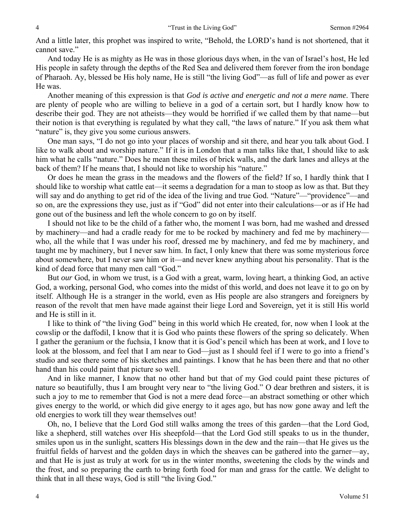And a little later, this prophet was inspired to write, "Behold, the LORD's hand is not shortened, that it cannot save."

 And today He is as mighty as He was in those glorious days when, in the van of Israel's host, He led His people in safety through the depths of the Red Sea and delivered them forever from the iron bondage of Pharaoh. Ay, blessed be His holy name, He is still "the living God"—as full of life and power as ever He was.

 Another meaning of this expression is that *God is active and energetic and not a mere name*. There are plenty of people who are willing to believe in a god of a certain sort, but I hardly know how to describe their god. They are not atheists—they would be horrified if we called them by that name—but their notion is that everything is regulated by what they call, "the laws of nature." If you ask them what "nature" is, they give you some curious answers.

 One man says, "I do not go into your places of worship and sit there, and hear you talk about God. I like to walk about and worship nature." If it is in London that a man talks like that, I should like to ask him what he calls "nature." Does he mean these miles of brick walls, and the dark lanes and alleys at the back of them? If he means that, I should not like to worship his "nature."

 Or does he mean the grass in the meadows and the flowers of the field? If so, I hardly think that I should like to worship what cattle eat—it seems a degradation for a man to stoop as low as that. But they will say and do anything to get rid of the idea of the living and true God. "Nature"—"providence"—and so on, are the expressions they use, just as if "God" did not enter into their calculations—or as if He had gone out of the business and left the whole concern to go on by itself.

 I should not like to be the child of a father who, the moment I was born, had me washed and dressed by machinery—and had a cradle ready for me to be rocked by machinery and fed me by machinery who, all the while that I was under his roof, dressed me by machinery, and fed me by machinery, and taught me by machinery, but I never saw him. In fact, I only knew that there was some mysterious force about somewhere, but I never saw him or it—and never knew anything about his personality. That is the kind of dead force that many men call "God."

 But *our* God, in whom we trust, is a God with a great, warm, loving heart, a thinking God, an active God, a working, personal God, who comes into the midst of this world, and does not leave it to go on by itself. Although He is a stranger in the world, even as His people are also strangers and foreigners by reason of the revolt that men have made against their liege Lord and Sovereign, yet it is still His world and He is still in it.

 I like to think of "the living God" being in this world which He created, for, now when I look at the cowslip or the daffodil, I know that it is God who paints these flowers of the spring so delicately. When I gather the geranium or the fuchsia, I know that it is God's pencil which has been at work, and I love to look at the blossom, and feel that I am near to God—just as I should feel if I were to go into a friend's studio and see there some of his sketches and paintings. I know that he has been there and that no other hand than his could paint that picture so well.

 And in like manner, I know that no other hand but that of my God could paint these pictures of nature so beautifully, thus I am brought very near to "the living God." O dear brethren and sisters, it is such a joy to me to remember that God is not a mere dead force—an abstract something or other which gives energy to the world, or which did give energy to it ages ago, but has now gone away and left the old energies to work till they wear themselves out!

 Oh, no, I believe that the Lord God still walks among the trees of this garden—that the Lord God, like a shepherd, still watches over His sheepfold—that the Lord God still speaks to us in the thunder, smiles upon us in the sunlight, scatters His blessings down in the dew and the rain—that He gives us the fruitful fields of harvest and the golden days in which the sheaves can be gathered into the garner—ay, and that He is just as truly at work for us in the winter months, sweetening the clods by the winds and the frost, and so preparing the earth to bring forth food for man and grass for the cattle. We delight to think that in all these ways, God is still "the living God."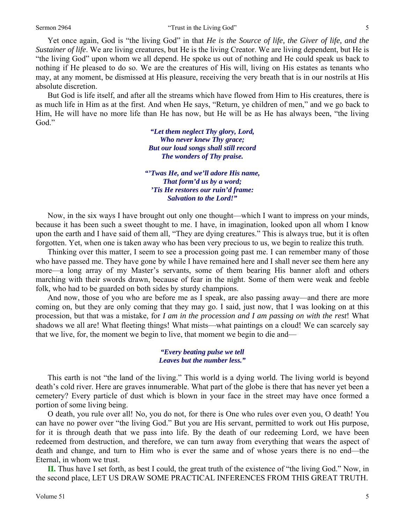Yet once again, God is "the living God" in that *He is the Source of life, the Giver of life, and the Sustainer of life*. We are living creatures, but He is the living Creator. We are living dependent, but He is "the living God" upon whom we all depend. He spoke us out of nothing and He could speak us back to nothing if He pleased to do so. We are the creatures of His will, living on His estates as tenants who may, at any moment, be dismissed at His pleasure, receiving the very breath that is in our nostrils at His absolute discretion.

 But God is life itself, and after all the streams which have flowed from Him to His creatures, there is as much life in Him as at the first. And when He says, "Return, ye children of men," and we go back to Him, He will have no more life than He has now, but He will be as He has always been, "the living God."

> *"Let them neglect Thy glory, Lord, Who never knew Thy grace; But our loud songs shall still record The wonders of Thy praise.*

*"'Twas He, and we'll adore His name, That form'd us by a word; 'Tis He restores our ruin'd frame: Salvation to the Lord!"* 

Now, in the six ways I have brought out only one thought—which I want to impress on your minds, because it has been such a sweet thought to me. I have, in imagination, looked upon all whom I know upon the earth and I have said of them all, "They are dying creatures." This is always true, but it is often forgotten. Yet, when one is taken away who has been very precious to us, we begin to realize this truth.

 Thinking over this matter, I seem to see a procession going past me. I can remember many of those who have passed me. They have gone by while I have remained here and I shall never see them here any more—a long array of my Master's servants, some of them bearing His banner aloft and others marching with their swords drawn, because of fear in the night. Some of them were weak and feeble folk, who had to be guarded on both sides by sturdy champions.

 And now, those of you who are before me as I speak, are also passing away—and there are more coming on, but they are only coming that they may go. I said, just now, that I was looking on at this procession, but that was a mistake, for *I am in the procession and I am passing on with the rest*! What shadows we all are! What fleeting things! What mists—what paintings on a cloud! We can scarcely say that we live, for, the moment we begin to live, that moment we begin to die and—

> *"Every beating pulse we tell Leaves but the number less."*

 This earth is not "the land of the living." This world is a dying world. The living world is beyond death's cold river. Here are graves innumerable. What part of the globe is there that has never yet been a cemetery? Every particle of dust which is blown in your face in the street may have once formed a portion of some living being.

 O death, you rule over all! No, you do not, for there is One who rules over even you, O death! You can have no power over "the living God." But you are His servant, permitted to work out His purpose, for it is through death that we pass into life. By the death of our redeeming Lord, we have been redeemed from destruction, and therefore, we can turn away from everything that wears the aspect of death and change, and turn to Him who is ever the same and of whose years there is no end—the Eternal, in whom we trust.

**II.** Thus have I set forth, as best I could, the great truth of the existence of "the living God." Now, in the second place, LET US DRAW SOME PRACTICAL INFERENCES FROM THIS GREAT TRUTH.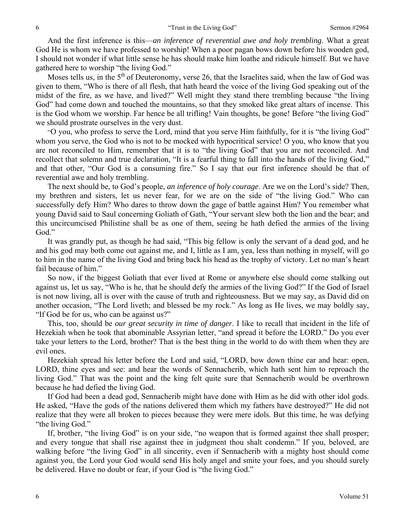And the first inference is this—*an inference of reverential awe and holy trembling*. What a great God He is whom we have professed to worship! When a poor pagan bows down before his wooden god, I should not wonder if what little sense he has should make him loathe and ridicule himself. But we have gathered here to worship "the living God."

Moses tells us, in the  $5<sup>th</sup>$  of Deuteronomy, verse 26, that the Israelites said, when the law of God was given to them, "Who is there of all flesh, that hath heard the voice of the living God speaking out of the midst of the fire, as we have, and lived?" Well might they stand there trembling because "the living God" had come down and touched the mountains, so that they smoked like great altars of incense. This is the God whom we worship. Far hence be all trifling! Vain thoughts, be gone! Before "the living God" we should prostrate ourselves in the very dust.

"O you, who profess to serve the Lord, mind that you serve Him faithfully, for it is "the living God" whom you serve, the God who is not to be mocked with hypocritical service! O you, who know that you are not reconciled to Him, remember that it is to "the living God" that you are not reconciled. And recollect that solemn and true declaration, "It is a fearful thing to fall into the hands of the living God," and that other, "Our God is a consuming fire." So I say that our first inference should be that of reverential awe and holy trembling.

 The next should be, to God's people, *an inference of holy courage*. Are we on the Lord's side? Then, my brethren and sisters, let us never fear, for we are on the side of "the living God." Who can successfully defy Him? Who dares to throw down the gage of battle against Him? You remember what young David said to Saul concerning Goliath of Gath, "Your servant slew both the lion and the bear; and this uncircumcised Philistine shall be as one of them, seeing he hath defied the armies of the living God."

 It was grandly put, as though he had said, "This big fellow is only the servant of a dead god, and he and his god may both come out against me, and I, little as I am, yea, less than nothing in myself, will go to him in the name of the living God and bring back his head as the trophy of victory. Let no man's heart fail because of him."

 So now, if the biggest Goliath that ever lived at Rome or anywhere else should come stalking out against us, let us say, "Who is he, that he should defy the armies of the living God?" If the God of Israel is not now living, all is over with the cause of truth and righteousness. But we may say, as David did on another occasion, "The Lord liveth; and blessed be my rock." As long as He lives, we may boldly say, "If God be for us, who can be against us?"

 This, too, should be *our great security in time of danger*. I like to recall that incident in the life of Hezekiah when he took that abominable Assyrian letter, "and spread it before the LORD." Do you ever take your letters to the Lord, brother? That is the best thing in the world to do with them when they are evil ones.

 Hezekiah spread his letter before the Lord and said, "LORD, bow down thine ear and hear: open, LORD, thine eyes and see: and hear the words of Sennacherib, which hath sent him to reproach the living God." That was the point and the king felt quite sure that Sennacherib would be overthrown because he had defied the living God.

 If God had been a dead god, Sennacherib might have done with Him as he did with other idol gods. He asked, "Have the gods of the nations delivered them which my fathers have destroyed?" He did not realize that they were all broken to pieces because they were mere idols. But this time, he was defying "the living God."

 If, brother, "the living God" is on your side, "no weapon that is formed against thee shall prosper; and every tongue that shall rise against thee in judgment thou shalt condemn." If you, beloved, are walking before "the living God" in all sincerity, even if Sennacherib with a mighty host should come against you, the Lord your God would send His holy angel and smite your foes, and you should surely be delivered. Have no doubt or fear, if your God is "the living God."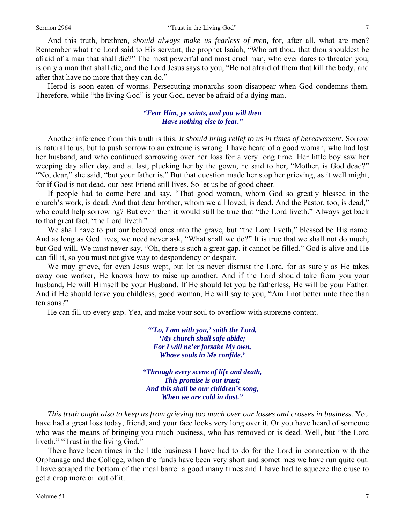And this truth, brethren, *should always make us fearless of men,* for, after all, what are men? Remember what the Lord said to His servant, the prophet Isaiah, "Who art thou, that thou shouldest be afraid of a man that shall die?" The most powerful and most cruel man, who ever dares to threaten you, is only a man that shall die, and the Lord Jesus says to you, "Be not afraid of them that kill the body, and after that have no more that they can do."

 Herod is soon eaten of worms. Persecuting monarchs soon disappear when God condemns them. Therefore, while "the living God" is your God, never be afraid of a dying man.

## *"Fear Him, ye saints, and you will then Have nothing else to fear."*

Another inference from this truth is this. *It should bring relief to us in times of bereavement.* Sorrow is natural to us, but to push sorrow to an extreme is wrong. I have heard of a good woman, who had lost her husband, and who continued sorrowing over her loss for a very long time. Her little boy saw her weeping day after day, and at last, plucking her by the gown, he said to her, "Mother, is God dead?" "No, dear," she said, "but your father is." But that question made her stop her grieving, as it well might, for if God is not dead, our best Friend still lives. So let us be of good cheer.

 If people had to come here and say, "That good woman, whom God so greatly blessed in the church's work, is dead. And that dear brother, whom we all loved, is dead. And the Pastor, too, is dead," who could help sorrowing? But even then it would still be true that "the Lord liveth." Always get back to that great fact, "the Lord liveth."

 We shall have to put our beloved ones into the grave, but "the Lord liveth," blessed be His name. And as long as God lives, we need never ask, "What shall we do?" It is true that we shall not do much, but God will. We must never say, "Oh, there is such a great gap, it cannot be filled." God is alive and He can fill it, so you must not give way to despondency or despair.

 We may grieve, for even Jesus wept, but let us never distrust the Lord, for as surely as He takes away one worker, He knows how to raise up another. And if the Lord should take from you your husband, He will Himself be your Husband. If He should let you be fatherless, He will be your Father. And if He should leave you childless, good woman, He will say to you, "Am I not better unto thee than ten sons?"

He can fill up every gap. Yea, and make your soul to overflow with supreme content.

*"'Lo, I am with you,' saith the Lord, 'My church shall safe abide; For I will ne'er forsake My own, Whose souls in Me confide.'* 

*"Through every scene of life and death, This promise is our trust; And this shall be our children's song, When we are cold in dust."* 

*This truth ought also to keep us from grieving too much over our losses and crosses in business.* You have had a great loss today, friend, and your face looks very long over it. Or you have heard of someone who was the means of bringing you much business, who has removed or is dead. Well, but "the Lord liveth." "Trust in the living God."

 There have been times in the little business I have had to do for the Lord in connection with the Orphanage and the College, when the funds have been very short and sometimes we have run quite out. I have scraped the bottom of the meal barrel a good many times and I have had to squeeze the cruse to get a drop more oil out of it.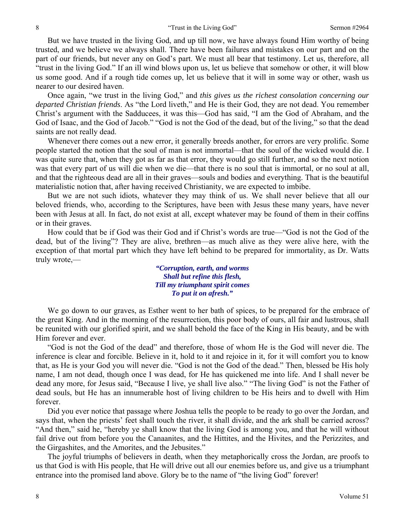But we have trusted in the living God, and up till now, we have always found Him worthy of being trusted, and we believe we always shall. There have been failures and mistakes on our part and on the part of our friends, but never any on God's part. We must all bear that testimony. Let us, therefore, all "trust in the living God." If an ill wind blows upon us, let us believe that somehow or other, it will blow us some good. And if a rough tide comes up, let us believe that it will in some way or other, wash us nearer to our desired haven.

 Once again, "we trust in the living God," and *this gives us the richest consolation concerning our departed Christian friends*. As "the Lord liveth," and He is their God, they are not dead. You remember Christ's argument with the Sadducees, it was this—God has said, "I am the God of Abraham, and the God of Isaac, and the God of Jacob." "God is not the God of the dead, but of the living," so that the dead saints are not really dead.

 Whenever there comes out a new error, it generally breeds another, for errors are very prolific. Some people started the notion that the soul of man is not immortal—that the soul of the wicked would die. I was quite sure that, when they got as far as that error, they would go still further, and so the next notion was that every part of us will die when we die—that there is no soul that is immortal, or no soul at all, and that the righteous dead are all in their graves—souls and bodies and everything. That is the beautiful materialistic notion that, after having received Christianity, we are expected to imbibe.

 But we are not such idiots, whatever they may think of us. We shall never believe that all our beloved friends, who, according to the Scriptures, have been with Jesus these many years, have never been with Jesus at all. In fact, do not exist at all, except whatever may be found of them in their coffins or in their graves.

 How could that be if God was their God and if Christ's words are true—"God is not the God of the dead, but of the living"? They are alive, brethren—as much alive as they were alive here, with the exception of that mortal part which they have left behind to be prepared for immortality, as Dr. Watts truly wrote,—

> *"Corruption, earth, and worms Shall but refine this flesh, Till my triumphant spirit comes To put it on afresh."*

 We go down to our graves, as Esther went to her bath of spices, to be prepared for the embrace of the great King. And in the morning of the resurrection, this poor body of ours, all fair and lustrous, shall be reunited with our glorified spirit, and we shall behold the face of the King in His beauty, and be with Him forever and ever.

 "God is not the God of the dead" and therefore, those of whom He is the God will never die. The inference is clear and forcible. Believe in it, hold to it and rejoice in it, for it will comfort you to know that, as He is your God you will never die. "God is not the God of the dead." Then, blessed be His holy name, I am not dead, though once I was dead, for He has quickened me into life. And I shall never be dead any more, for Jesus said, "Because I live, ye shall live also." "The living God" is not the Father of dead souls, but He has an innumerable host of living children to be His heirs and to dwell with Him forever.

 Did you ever notice that passage where Joshua tells the people to be ready to go over the Jordan, and says that, when the priests' feet shall touch the river, it shall divide, and the ark shall be carried across? "And then," said he, "hereby ye shall know that the living God is among you, and that he will without fail drive out from before you the Canaanites, and the Hittites, and the Hivites, and the Perizzites, and the Girgashites, and the Amorites, and the Jebusites."

 The joyful triumphs of believers in death, when they metaphorically cross the Jordan, are proofs to us that God is with His people, that He will drive out all our enemies before us, and give us a triumphant entrance into the promised land above. Glory be to the name of "the living God" forever!